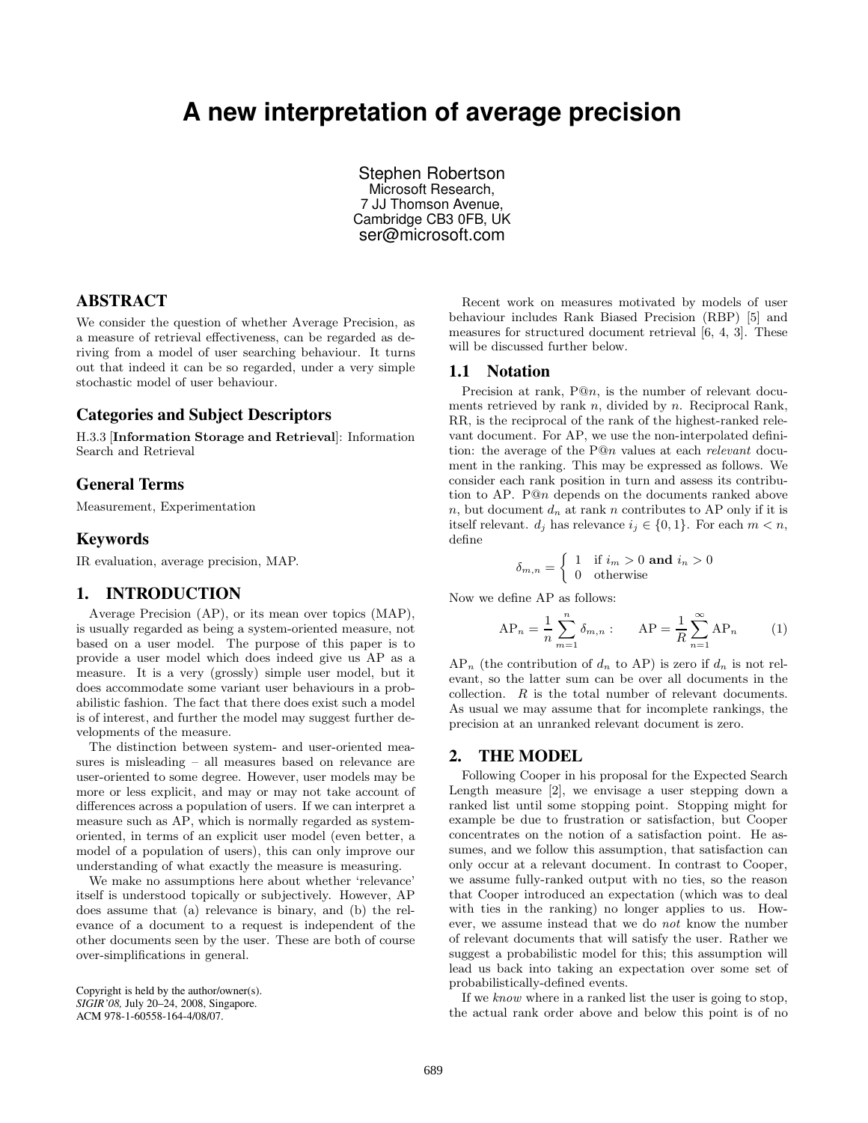# **A new interpretation of average precision**

Stephen Robertson Microsoft Research, 7 JJ Thomson Avenue, Cambridge CB3 0FB, UK ser@microsoft.com

# ABSTRACT

We consider the question of whether Average Precision, as a measure of retrieval effectiveness, can be regarded as deriving from a model of user searching behaviour. It turns out that indeed it can be so regarded, under a very simple stochastic model of user behaviour.

#### Categories and Subject Descriptors

H.3.3 [Information Storage and Retrieval]: Information Search and Retrieval

## General Terms

Measurement, Experimentation

## Keywords

IR evaluation, average precision, MAP.

## 1. INTRODUCTION

Average Precision (AP), or its mean over topics (MAP), is usually regarded as being a system-oriented measure, not based on a user model. The purpose of this paper is to provide a user model which does indeed give us AP as a measure. It is a very (grossly) simple user model, but it does accommodate some variant user behaviours in a probabilistic fashion. The fact that there does exist such a model is of interest, and further the model may suggest further developments of the measure.

The distinction between system- and user-oriented measures is misleading – all measures based on relevance are user-oriented to some degree. However, user models may be more or less explicit, and may or may not take account of differences across a population of users. If we can interpret a measure such as AP, which is normally regarded as systemoriented, in terms of an explicit user model (even better, a model of a population of users), this can only improve our understanding of what exactly the measure is measuring.

We make no assumptions here about whether 'relevance' itself is understood topically or subjectively. However, AP does assume that (a) relevance is binary, and (b) the relevance of a document to a request is independent of the other documents seen by the user. These are both of course over-simplifications in general.

Copyright is held by the author/owner(s). *SIGIR'08,* July 20–24, 2008, Singapore. ACM 978-1-60558-164-4/08/07.

Recent work on measures motivated by models of user behaviour includes Rank Biased Precision (RBP) [5] and measures for structured document retrieval [6, 4, 3]. These will be discussed further below.

#### 1.1 Notation

Precision at rank, P@n, is the number of relevant documents retrieved by rank  $n$ , divided by  $n$ . Reciprocal Rank, RR, is the reciprocal of the rank of the highest-ranked relevant document. For AP, we use the non-interpolated definition: the average of the P@n values at each relevant document in the ranking. This may be expressed as follows. We consider each rank position in turn and assess its contribution to AP. P@n depends on the documents ranked above n, but document  $d_n$  at rank n contributes to AP only if it is itself relevant.  $d_i$  has relevance  $i_j \in \{0, 1\}$ . For each  $m < n$ , define

$$
\delta_{m,n} = \begin{cases} 1 & \text{if } i_m > 0 \text{ and } i_n > 0 \\ 0 & \text{otherwise} \end{cases}
$$

Now we define AP as follows:

$$
AP_n = \frac{1}{n} \sum_{m=1}^n \delta_{m,n}
$$
:  $AP = \frac{1}{R} \sum_{n=1}^\infty AP_n$  (1)

 $AP_n$  (the contribution of  $d_n$  to AP) is zero if  $d_n$  is not relevant, so the latter sum can be over all documents in the collection. R is the total number of relevant documents. As usual we may assume that for incomplete rankings, the precision at an unranked relevant document is zero.

## 2. THE MODEL

Following Cooper in his proposal for the Expected Search Length measure [2], we envisage a user stepping down a ranked list until some stopping point. Stopping might for example be due to frustration or satisfaction, but Cooper concentrates on the notion of a satisfaction point. He assumes, and we follow this assumption, that satisfaction can only occur at a relevant document. In contrast to Cooper, we assume fully-ranked output with no ties, so the reason that Cooper introduced an expectation (which was to deal with ties in the ranking) no longer applies to us. However, we assume instead that we do not know the number of relevant documents that will satisfy the user. Rather we suggest a probabilistic model for this; this assumption will lead us back into taking an expectation over some set of probabilistically-defined events.

If we know where in a ranked list the user is going to stop, the actual rank order above and below this point is of no